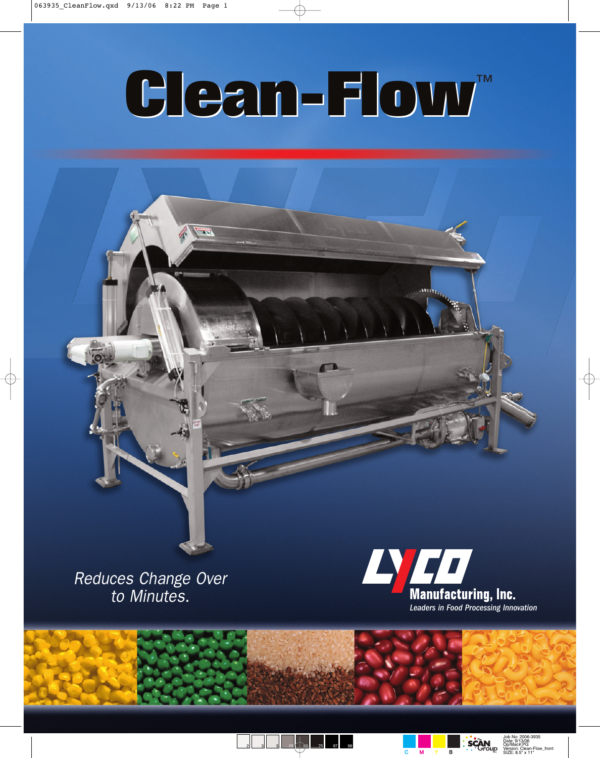$\overline{\mathbf{v}}$ 

## **Clean-Flow Clean-Flow** ™

Reduces Change Over to Minutes.





2 3 5 25 76 75 97 98

**SCAN**  $\overline{C}$  M Y B

Job No: 2006-3935 Date: 9/13/06 Op/Mac#:PG Version: Clean-Flow\_front SIZE: 8.5" x 11"